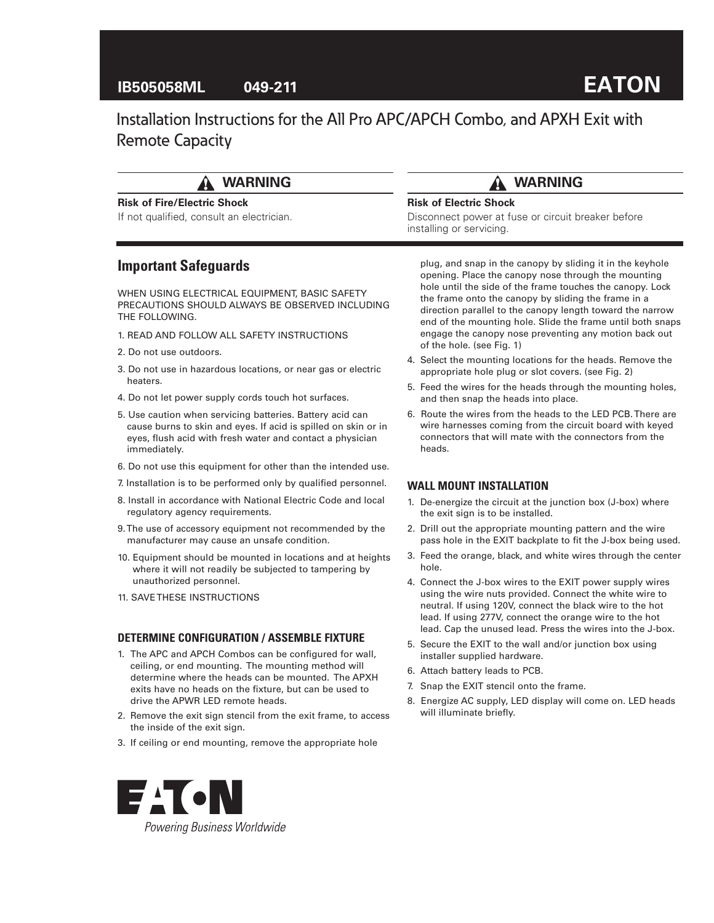## **IB505058ML 049-211**

# **EATON**

Installation Instructions for the All Pro APC/APCH Combo, and APXH Exit with Remote Capacity

# **WARNING**

#### **Risk of Fire/Electric Shock**

If not qualified, consult an electrician.

## **Important Safeguards**

WHEN USING ELECTRICAL EQUIPMENT, BASIC SAFETY PRECAUTIONS SHOULD ALWAYS BE OBSERVED INCLUDING THE FOLLOWING.

- 1. READ AND FOLLOW ALL SAFETY INSTRUCTIONS
- 2. Do not use outdoors.
- 3. Do not use in hazardous locations, or near gas or electric heaters.
- 4. Do not let power supply cords touch hot surfaces.
- 5. Use caution when servicing batteries. Battery acid can cause burns to skin and eyes. If acid is spilled on skin or in eyes, flush acid with fresh water and contact a physician immediately.
- 6. Do not use this equipment for other than the intended use.
- 7. Installation is to be performed only by qualified personnel.
- 8. Install in accordance with National Electric Code and local regulatory agency requirements.
- 9. The use of accessory equipment not recommended by the manufacturer may cause an unsafe condition.
- 10. Equipment should be mounted in locations and at heights where it will not readily be subjected to tampering by unauthorized personnel.
- 11. SAVE THESE INSTRUCTIONS

#### **DETERMINE CONFIGURATION / ASSEMBLE FIXTURE**

- 1. The APC and APCH Combos can be configured for wall, ceiling, or end mounting. The mounting method will determine where the heads can be mounted. The APXH exits have no heads on the fixture, but can be used to drive the APWR LED remote heads.
- 2. Remove the exit sign stencil from the exit frame, to access the inside of the exit sign.
- 3. If ceiling or end mounting, remove the appropriate hole

plug, and snap in the canopy by sliding it in the keyhole opening. Place the canopy nose through the mounting hole until the side of the frame touches the canopy. Lock the frame onto the canopy by sliding the frame in a direction parallel to the canopy length toward the narrow end of the mounting hole. Slide the frame until both snaps engage the canopy nose preventing any motion back out of the hole. (see Fig. 1)

- 4. Select the mounting locations for the heads. Remove the appropriate hole plug or slot covers. (see Fig. 2)
- 5. Feed the wires for the heads through the mounting holes, and then snap the heads into place.
- 6. Route the wires from the heads to the LED PCB. There are wire harnesses coming from the circuit board with keyed connectors that will mate with the connectors from the heads.

#### **WALL MOUNT INSTALLATION**

- 1. De-energize the circuit at the junction box (J-box) where the exit sign is to be installed.
- 2. Drill out the appropriate mounting pattern and the wire pass hole in the EXIT backplate to fit the J-box being used.
- 3. Feed the orange, black, and white wires through the center hole.
- 4. Connect the J-box wires to the EXIT power supply wires using the wire nuts provided. Connect the white wire to neutral. If using 120V, connect the black wire to the hot lead. If using 277V, connect the orange wire to the hot lead. Cap the unused lead. Press the wires into the J-box.
- 5. Secure the EXIT to the wall and/or junction box using installer supplied hardware.
- 6. Attach battery leads to PCB.
- 7. Snap the EXIT stencil onto the frame.
- 8. Energize AC supply, LED display will come on. LED heads will illuminate briefly.



## **WARNING**

Disconnect power at fuse or circuit breaker before

#### **Risk of Electric Shock**

installing or servicing.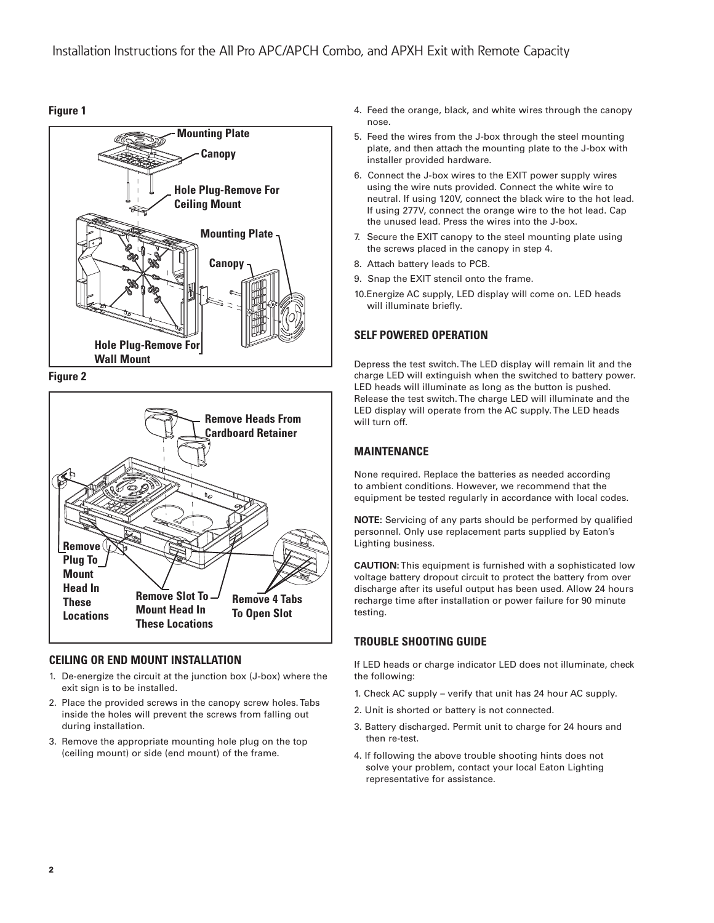#### **Figure 1**



**Figure 2**



## **CEILING OR END MOUNT INSTALLATION**

- 1. De-energize the circuit at the junction box (J-box) where the exit sign is to be installed.
- 2. Place the provided screws in the canopy screw holes. Tabs inside the holes will prevent the screws from falling out during installation.
- 3. Remove the appropriate mounting hole plug on the top (ceiling mount) or side (end mount) of the frame.
- 4. Feed the orange, black, and white wires through the canopy nose.
- 5. Feed the wires from the J-box through the steel mounting plate, and then attach the mounting plate to the J-box with installer provided hardware.
- 6. Connect the J-box wires to the EXIT power supply wires using the wire nuts provided. Connect the white wire to neutral. If using 120V, connect the black wire to the hot lead. If using 277V, connect the orange wire to the hot lead. Cap the unused lead. Press the wires into the J-box.
- 7. Secure the EXIT canopy to the steel mounting plate using the screws placed in the canopy in step 4.
- 8. Attach battery leads to PCB.
- 9. Snap the EXIT stencil onto the frame.
- 10.Energize AC supply, LED display will come on. LED heads will illuminate briefly.

## **SELF POWERED OPERATION**

Depress the test switch. The LED display will remain lit and the charge LED will extinguish when the switched to battery power. LED heads will illuminate as long as the button is pushed. Release the test switch. The charge LED will illuminate and the LED display will operate from the AC supply. The LED heads will turn off.

## **MAINTENANCE**

None required. Replace the batteries as needed according to ambient conditions. However, we recommend that the equipment be tested regularly in accordance with local codes.

**NOTE:** Servicing of any parts should be performed by qualified personnel. Only use replacement parts supplied by Eaton's Lighting business.

**CAUTION:** This equipment is furnished with a sophisticated low voltage battery dropout circuit to protect the battery from over discharge after its useful output has been used. Allow 24 hours recharge time after installation or power failure for 90 minute testing.

## **TROUBLE SHOOTING GUIDE**

If LED heads or charge indicator LED does not illuminate, check the following:

- 1. Check AC supply verify that unit has 24 hour AC supply.
- 2. Unit is shorted or battery is not connected.
- 3. Battery discharged. Permit unit to charge for 24 hours and then re-test.
- 4. If following the above trouble shooting hints does not solve your problem, contact your local Eaton Lighting representative for assistance.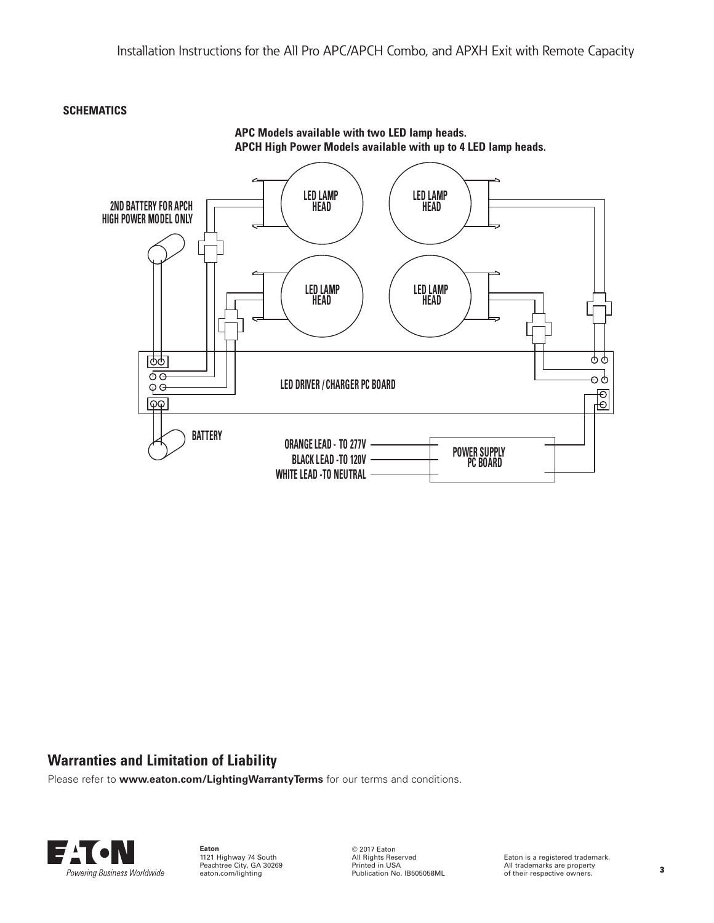#### **SCHEMATICS**



# **APC Models available with two LED lamp heads.**

# **Warranties and Limitation of Liability**

Please refer to **www.eaton.com/LightingWarrantyTerms** for our terms and conditions.



**Eaton** 1121 Highway 74 South Peachtree City, GA 30269 eaton.com/lighting

© 2017 Eaton All Rights Reserved Printed in USA Publication No. IB505058ML

Eaton is a registered trademark. All trademarks are property of their respective owners.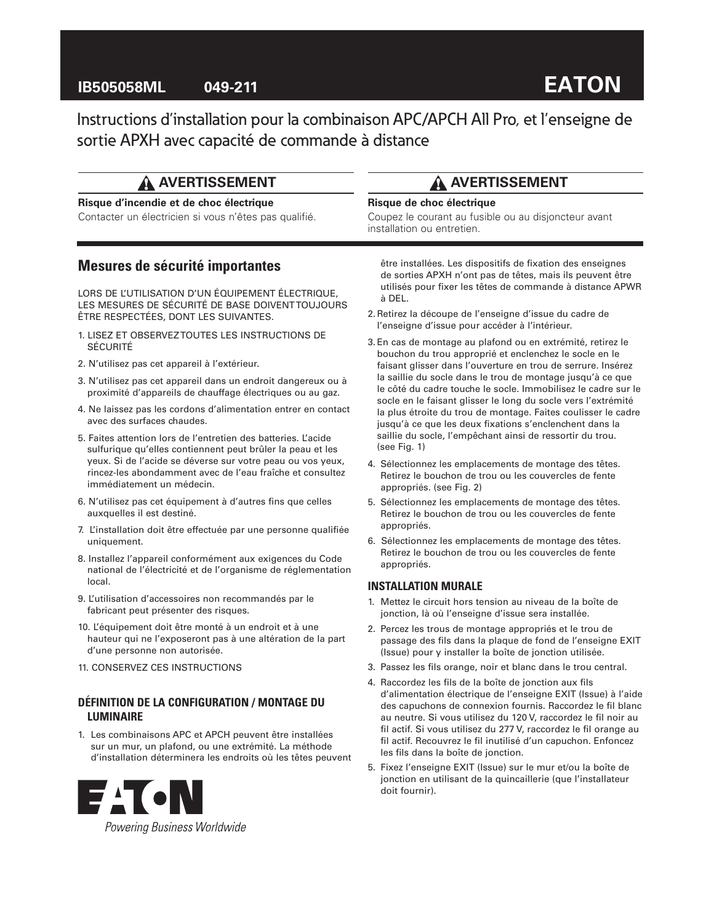# **IB505058ML 049-211**

# **EATON**

Instructions d'installation pour la combinaison APC/APCH All Pro, et l'enseigne de sortie APXH avec capacité de commande à distance

# **AVERTISSEMENT**

#### **Risque d'incendie et de choc électrique**

Contacter un électricien si vous n'êtes pas qualifié.

## **Mesures de sécurité importantes**

LORS DE L'UTILISATION D'UN ÉQUIPEMENT ÉLECTRIQUE, LES MESURES DE SÉCURITÉ DE BASE DOIVENT TOUJOURS ÊTRE RESPECTÉES, DONT LES SUIVANTES.

- 1. LISEZ ET OBSERVEZ TOUTES LES INSTRUCTIONS DE SÉCURITÉ
- 2. N'utilisez pas cet appareil à l'extérieur.
- 3. N'utilisez pas cet appareil dans un endroit dangereux ou à proximité d'appareils de chauffage électriques ou au gaz.
- 4. Ne laissez pas les cordons d'alimentation entrer en contact avec des surfaces chaudes.
- 5. Faites attention lors de l'entretien des batteries. L'acide sulfurique qu'elles contiennent peut brûler la peau et les yeux. Si de l'acide se déverse sur votre peau ou vos yeux, rincez-les abondamment avec de l'eau fraîche et consultez immédiatement un médecin.
- 6. N'utilisez pas cet équipement à d'autres fins que celles auxquelles il est destiné.
- 7. L'installation doit être effectuée par une personne qualifiée uniquement.
- 8. Installez l'appareil conformément aux exigences du Code national de l'électricité et de l'organisme de réglementation local.
- 9. L'utilisation d'accessoires non recommandés par le fabricant peut présenter des risques.
- 10. L'équipement doit être monté à un endroit et à une hauteur qui ne l'exposeront pas à une altération de la part d'une personne non autorisée.
- 11. CONSERVEZ CES INSTRUCTIONS

#### **DÉFINITION DE LA CONFIGURATION / MONTAGE DU LUMINAIRE**

1. Les combinaisons APC et APCH peuvent être installées sur un mur, un plafond, ou une extrémité. La méthode d'installation déterminera les endroits où les têtes peuvent



# **AVERTISSEMENT**

#### **Risque de choc électrique**

Coupez le courant au fusible ou au disjoncteur avant installation ou entretien.

être installées. Les dispositifs de fixation des enseignes de sorties APXH n'ont pas de têtes, mais ils peuvent être utilisés pour fixer les têtes de commande à distance APWR à DEL.

- 2.Retirez la découpe de l'enseigne d'issue du cadre de l'enseigne d'issue pour accéder à l'intérieur.
- 3. En cas de montage au plafond ou en extrémité, retirez le bouchon du trou approprié et enclenchez le socle en le faisant glisser dans l'ouverture en trou de serrure. Insérez la saillie du socle dans le trou de montage jusqu'à ce que le côté du cadre touche le socle. Immobilisez le cadre sur le socle en le faisant glisser le long du socle vers l'extrémité la plus étroite du trou de montage. Faites coulisser le cadre jusqu'à ce que les deux fixations s'enclenchent dans la saillie du socle, l'empêchant ainsi de ressortir du trou. (see Fig. 1)
- 4. Sélectionnez les emplacements de montage des têtes. Retirez le bouchon de trou ou les couvercles de fente appropriés. (see Fig. 2)
- 5. Sélectionnez les emplacements de montage des têtes. Retirez le bouchon de trou ou les couvercles de fente appropriés.
- 6. Sélectionnez les emplacements de montage des têtes. Retirez le bouchon de trou ou les couvercles de fente appropriés.

#### **INSTALLATION MURALE**

- 1. Mettez le circuit hors tension au niveau de la boîte de jonction, là où l'enseigne d'issue sera installée.
- 2. Percez les trous de montage appropriés et le trou de passage des fils dans la plaque de fond de l'enseigne EXIT (Issue) pour y installer la boîte de jonction utilisée.
- 3. Passez les fils orange, noir et blanc dans le trou central.
- 4. Raccordez les fils de la boîte de jonction aux fils d'alimentation électrique de l'enseigne EXIT (Issue) à l'aide des capuchons de connexion fournis. Raccordez le fil blanc au neutre. Si vous utilisez du 120 V, raccordez le fil noir au fil actif. Si vous utilisez du 277 V, raccordez le fil orange au fil actif. Recouvrez le fil inutilisé d'un capuchon. Enfoncez les fils dans la boîte de jonction.
- 5. Fixez l'enseigne EXIT (Issue) sur le mur et/ou la boîte de jonction en utilisant de la quincaillerie (que l'installateur doit fournir).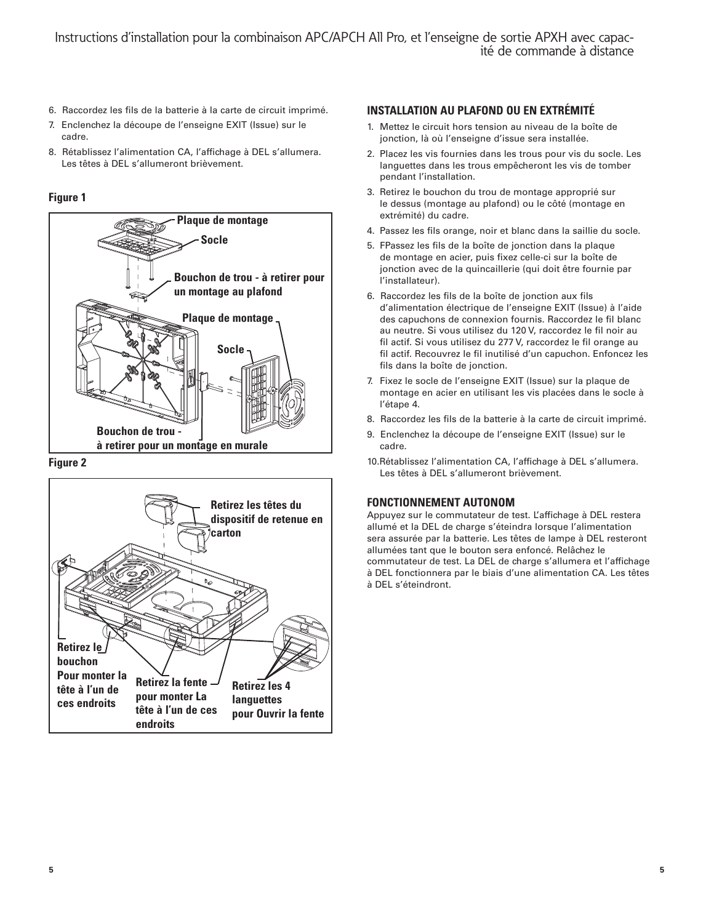- 6. Raccordez les fils de la batterie à la carte de circuit imprimé.
- 7. Enclenchez la découpe de l'enseigne EXIT (Issue) sur le cadre.
- 8. Rétablissez l'alimentation CA, l'affichage à DEL s'allumera. Les têtes à DEL s'allumeront brièvement.

#### **Figure 1**







#### **INSTALLATION AU PLAFOND OU EN EXTRÉMITÉ**

- 1. Mettez le circuit hors tension au niveau de la boîte de jonction, là où l'enseigne d'issue sera installée.
- 2. Placez les vis fournies dans les trous pour vis du socle. Les languettes dans les trous empêcheront les vis de tomber pendant l'installation.
- 3. Retirez le bouchon du trou de montage approprié sur le dessus (montage au plafond) ou le côté (montage en extrémité) du cadre.
- 4. Passez les fils orange, noir et blanc dans la saillie du socle.
- 5. FPassez les fils de la boîte de jonction dans la plaque de montage en acier, puis fixez celle-ci sur la boîte de jonction avec de la quincaillerie (qui doit être fournie par l'installateur).
- 6. Raccordez les fils de la boîte de jonction aux fils d'alimentation électrique de l'enseigne EXIT (Issue) à l'aide des capuchons de connexion fournis. Raccordez le fil blanc au neutre. Si vous utilisez du 120 V, raccordez le fil noir au fil actif. Si vous utilisez du 277 V, raccordez le fil orange au fil actif. Recouvrez le fil inutilisé d'un capuchon. Enfoncez les fils dans la boîte de jonction.
- 7. Fixez le socle de l'enseigne EXIT (Issue) sur la plaque de montage en acier en utilisant les vis placées dans le socle à l'étape 4.
- 8. Raccordez les fils de la batterie à la carte de circuit imprimé.
- 9. Enclenchez la découpe de l'enseigne EXIT (Issue) sur le cadre.
- 10.Rétablissez l'alimentation CA, l'affichage à DEL s'allumera. Les têtes à DEL s'allumeront brièvement.

## **FONCTIONNEMENT AUTONOM**

Appuyez sur le commutateur de test. L'affichage à DEL restera allumé et la DEL de charge s'éteindra lorsque l'alimentation sera assurée par la batterie. Les têtes de lampe à DEL resteront allumées tant que le bouton sera enfoncé. Relâchez le commutateur de test. La DEL de charge s'allumera et l'affichage à DEL fonctionnera par le biais d'une alimentation CA. Les têtes à DEL s'éteindront.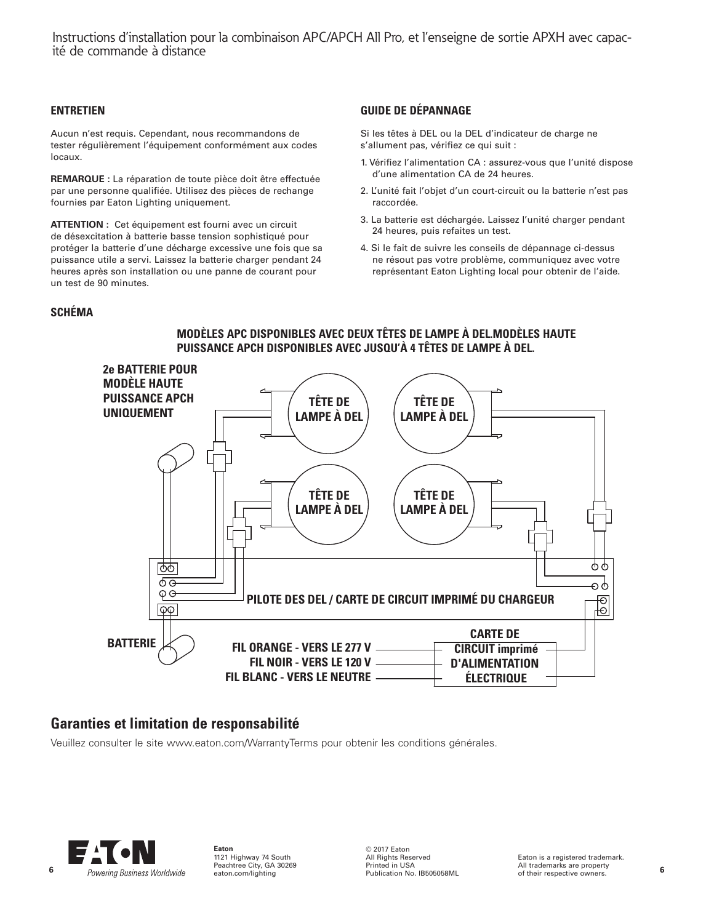Instructions d'installation pour la combinaison APC/APCH All Pro, et l'enseigne de sortie APXH avec capacité de commande à distance

#### **ENTRETIEN**

Aucun n'est requis. Cependant, nous recommandons de tester régulièrement l'équipement conformément aux codes locaux.

**REMARQUE :** La réparation de toute pièce doit être effectuée par une personne qualifiée. Utilisez des pièces de rechange fournies par Eaton Lighting uniquement.

**ATTENTION :** Cet équipement est fourni avec un circuit de désexcitation à batterie basse tension sophistiqué pour protéger la batterie d'une décharge excessive une fois que sa puissance utile a servi. Laissez la batterie charger pendant 24 heures après son installation ou une panne de courant pour un test de 90 minutes.

#### **GUIDE DE DÉPANNAGE**

Si les têtes à DEL ou la DEL d'indicateur de charge ne s'allument pas, vérifiez ce qui suit :

- 1. Vérifiez l'alimentation CA : assurez-vous que l'unité dispose d'une alimentation CA de 24 heures.
- 2. L'unité fait l'objet d'un court-circuit ou la batterie n'est pas raccordée.
- 3. La batterie est déchargée. Laissez l'unité charger pendant 24 heures, puis refaites un test.
- 4. Si le fait de suivre les conseils de dépannage ci-dessus ne résout pas votre problème, communiquez avec votre représentant Eaton Lighting local pour obtenir de l'aide.

#### **SCHÉMA**

#### **PUISSANCE APCH DISPONIBLES AVEC JUSQU'À 4 TÊTES DE LAMPE À DEL. 2e BATTERIE POUR MODÈLE HAUTE PUISSANCE APCH TÊTE DE TÊTE DE UNIQUEMENT LAMPE À DEL LAMPE À DEL TÊTE DE TÊTE DE LAMPE À DEL LAMPE À DEL** ტტ ळि ക് oф φΘ **PILOTE DES DEL / CARTE DE CIRCUIT IMPRIMÉ DU CHARGEUR** Đ  $\overline{\curvearrowright}$ ю∣ **CARTE DE BATTERIE FIL ORANGE - VERS LE 277 V CIRCUIT imprimé FIL NOIR - VERS LE 120 V D'ALIMENTATION FIL BLANC - VERS LE NEUTRE ÉLECTRIQUE**

**MODÈLES APC DISPONIBLES AVEC DEUX TÊTES DE LAMPE À DEL.MODÈLES HAUTE** 

## **Garanties et limitation de responsabilité**

Veuillez consulter le site www.eaton.com/WarrantyTerms pour obtenir les conditions générales.



**Eaton** 1121 Highway 74 South Peachtree City, GA 30269 eaton.com/lighting

© 2017 Eaton All Rights Reserved Printed in USA Publication No. IB505058ML

Eaton is a registered trademark. All trademarks are property of their respective owners.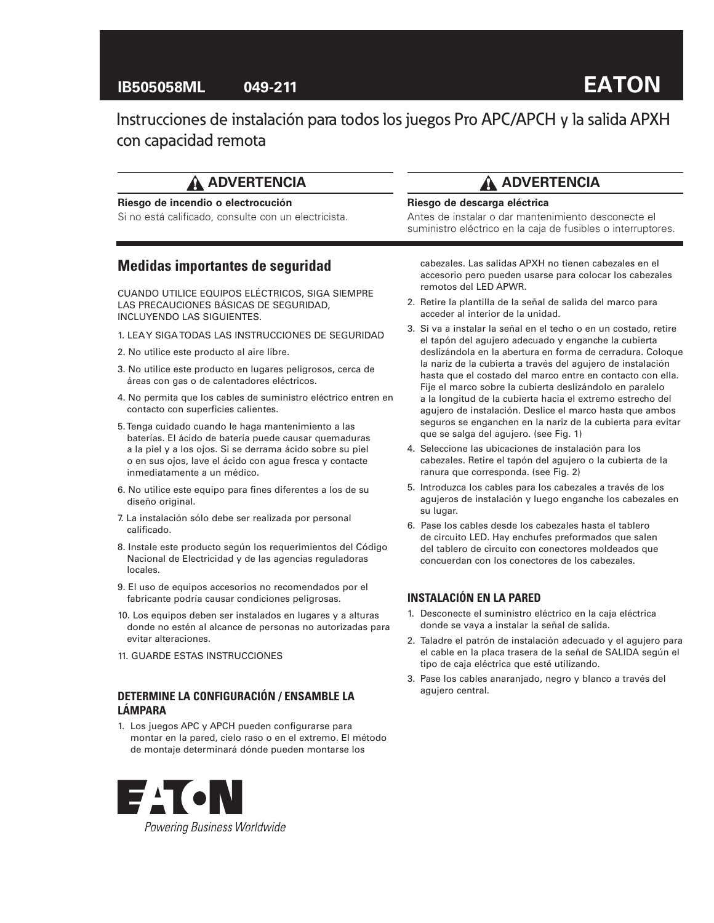# **IB505058ML 049-211**

# **EATON**

Instrucciones de instalación para todos los juegos Pro APC/APCH y la salida APXH con capacidad remota

# **ADVERTENCIA**

#### **Riesgo de incendio o electrocución**

Si no está calificado, consulte con un electricista.

## **Medidas importantes de seguridad**

CUANDO UTILICE EQUIPOS ELÉCTRICOS, SIGA SIEMPRE LAS PRECAUCIONES BÁSICAS DE SEGURIDAD, INCLUYENDO LAS SIGUIENTES.

- 1. LEA Y SIGA TODAS LAS INSTRUCCIONES DE SEGURIDAD
- 2. No utilice este producto al aire libre.
- 3. No utilice este producto en lugares peligrosos, cerca de áreas con gas o de calentadores eléctricos.
- 4. No permita que los cables de suministro eléctrico entren en contacto con superficies calientes.
- 5. Tenga cuidado cuando le haga mantenimiento a las baterías. El ácido de batería puede causar quemaduras a la piel y a los ojos. Si se derrama ácido sobre su piel o en sus ojos, lave el ácido con agua fresca y contacte inmediatamente a un médico.
- 6. No utilice este equipo para fines diferentes a los de su diseño original.
- 7. La instalación sólo debe ser realizada por personal calificado.
- 8. Instale este producto según los requerimientos del Código Nacional de Electricidad y de las agencias reguladoras locales.
- 9. El uso de equipos accesorios no recomendados por el fabricante podría causar condiciones peligrosas.
- 10. Los equipos deben ser instalados en lugares y a alturas donde no estén al alcance de personas no autorizadas para evitar alteraciones.
- 11. GUARDE ESTAS INSTRUCCIONES

#### **DETERMINE LA CONFIGURACIÓN / ENSAMBLE LA LÁMPARA**

1. Los juegos APC y APCH pueden configurarse para montar en la pared, cielo raso o en el extremo. El método de montaje determinará dónde pueden montarse los



# **ADVERTENCIA**

#### **Riesgo de descarga eléctrica**

Antes de instalar o dar mantenimiento desconecte el suministro eléctrico en la caja de fusibles o interruptores.

cabezales. Las salidas APXH no tienen cabezales en el accesorio pero pueden usarse para colocar los cabezales remotos del LED APWR.

- 2. Retire la plantilla de la señal de salida del marco para acceder al interior de la unidad.
- 3. Si va a instalar la señal en el techo o en un costado, retire el tapón del agujero adecuado y enganche la cubierta deslizándola en la abertura en forma de cerradura. Coloque la nariz de la cubierta a través del agujero de instalación hasta que el costado del marco entre en contacto con ella. Fije el marco sobre la cubierta deslizándolo en paralelo a la longitud de la cubierta hacia el extremo estrecho del agujero de instalación. Deslice el marco hasta que ambos seguros se enganchen en la nariz de la cubierta para evitar que se salga del agujero. (see Fig. 1)
- 4. Seleccione las ubicaciones de instalación para los cabezales. Retire el tapón del agujero o la cubierta de la ranura que corresponda. (see Fig. 2)
- 5. Introduzca los cables para los cabezales a través de los agujeros de instalación y luego enganche los cabezales en su lugar.
- 6. Pase los cables desde los cabezales hasta el tablero de circuito LED. Hay enchufes preformados que salen del tablero de circuito con conectores moldeados que concuerdan con los conectores de los cabezales.

#### **INSTALACIÓN EN LA PARED**

- 1. Desconecte el suministro eléctrico en la caja eléctrica donde se vaya a instalar la señal de salida.
- 2. Taladre el patrón de instalación adecuado y el agujero para el cable en la placa trasera de la señal de SALIDA según el tipo de caja eléctrica que esté utilizando.
- 3. Pase los cables anaranjado, negro y blanco a través del agujero central.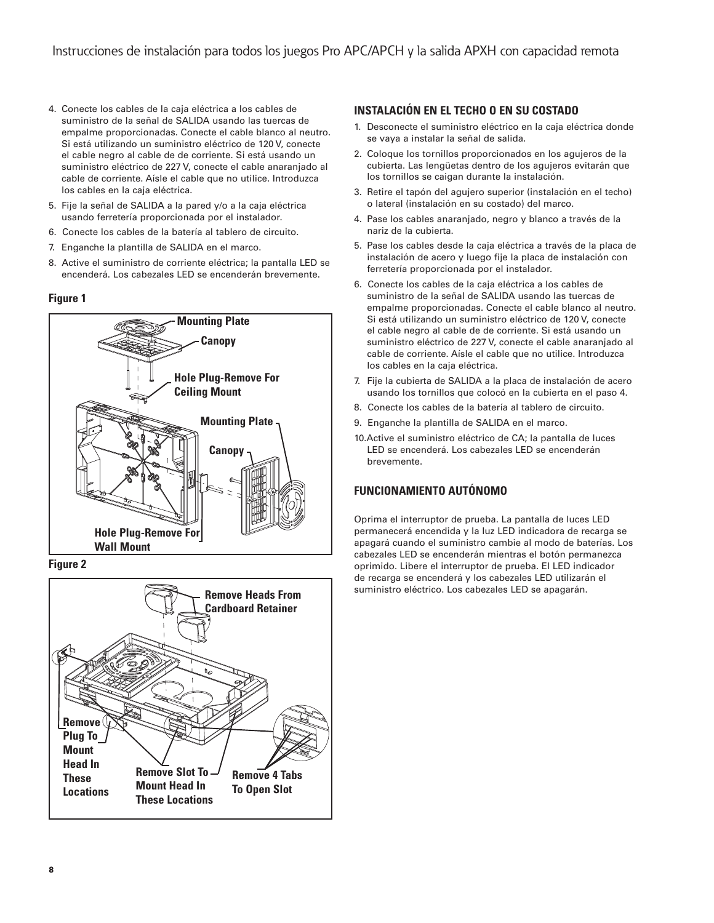- 4. Conecte los cables de la caja eléctrica a los cables de suministro de la señal de SALIDA usando las tuercas de empalme proporcionadas. Conecte el cable blanco al neutro. Si está utilizando un suministro eléctrico de 120 V, conecte el cable negro al cable de de corriente. Si está usando un suministro eléctrico de 227 V, conecte el cable anaranjado al cable de corriente. Aísle el cable que no utilice. Introduzca los cables en la caja eléctrica.
- 5. Fije la señal de SALIDA a la pared y/o a la caja eléctrica usando ferretería proporcionada por el instalador.
- 6. Conecte los cables de la batería al tablero de circuito.
- 7. Enganche la plantilla de SALIDA en el marco.
- 8. Active el suministro de corriente eléctrica; la pantalla LED se encenderá. Los cabezales LED se encenderán brevemente.

#### **Figure 1**



**Figure 2**



## **INSTALACIÓN EN EL TECHO O EN SU COSTADO**

- 1. Desconecte el suministro eléctrico en la caja eléctrica donde se vaya a instalar la señal de salida.
- 2. Coloque los tornillos proporcionados en los agujeros de la cubierta. Las lengüetas dentro de los agujeros evitarán que los tornillos se caigan durante la instalación.
- 3. Retire el tapón del agujero superior (instalación en el techo) o lateral (instalación en su costado) del marco.
- 4. Pase los cables anaranjado, negro y blanco a través de la nariz de la cubierta.
- 5. Pase los cables desde la caja eléctrica a través de la placa de instalación de acero y luego fije la placa de instalación con ferretería proporcionada por el instalador.
- 6. Conecte los cables de la caja eléctrica a los cables de suministro de la señal de SALIDA usando las tuercas de empalme proporcionadas. Conecte el cable blanco al neutro. Si está utilizando un suministro eléctrico de 120 V, conecte el cable negro al cable de de corriente. Si está usando un suministro eléctrico de 227 V, conecte el cable anaranjado al cable de corriente. Aísle el cable que no utilice. Introduzca los cables en la caja eléctrica.
- 7. Fije la cubierta de SALIDA a la placa de instalación de acero usando los tornillos que colocó en la cubierta en el paso 4.
- 8. Conecte los cables de la batería al tablero de circuito.
- 9. Enganche la plantilla de SALIDA en el marco.
- 10.Active el suministro eléctrico de CA; la pantalla de luces LED se encenderá. Los cabezales LED se encenderán brevemente.

## **FUNCIONAMIENTO AUTÓNOMO**

Oprima el interruptor de prueba. La pantalla de luces LED permanecerá encendida y la luz LED indicadora de recarga se apagará cuando el suministro cambie al modo de baterías. Los cabezales LED se encenderán mientras el botón permanezca oprimido. Libere el interruptor de prueba. El LED indicador de recarga se encenderá y los cabezales LED utilizarán el suministro eléctrico. Los cabezales LED se apagarán.